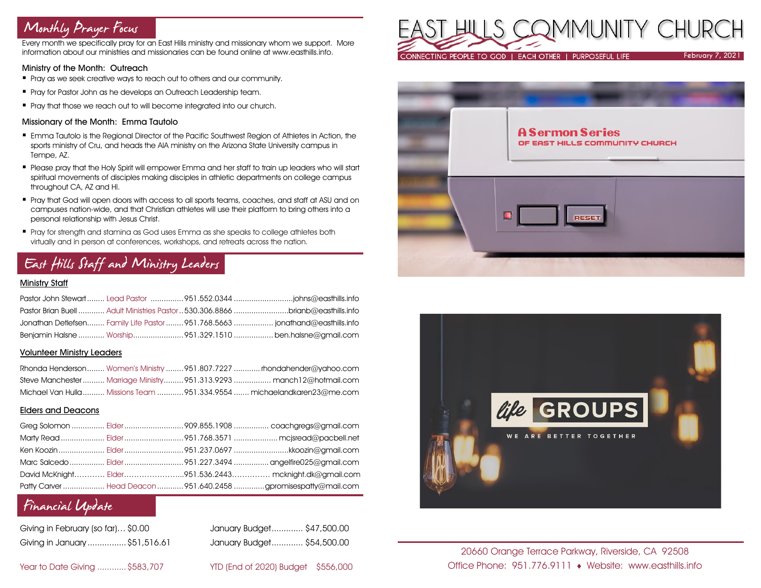# Monthly Prayer Focus

Every month we specifically pray for an East Hills ministry and missionary whom we support. More information about our ministries and missionaries can be found online at www.easthills.info.

## Ministry of the Month: Outreach

- Pray as we seek creative ways to reach out to others and our community.
- **Pray for Pastor John as he develops an Outreach Leadership team.**
- Pray that those we reach out to will become integrated into our church.

## Missionary of the Month: Emma Tautolo

- **Emma Tautolo is the Regional Director of the Pacific Southwest Region of Athletes in Action, the** sports ministry of Cru, and heads the AIA ministry on the Arizona State University campus in Tempe, AZ.
- Please pray that the Holy Spirit will empower Emma and her staff to train up leaders who will start spiritual movements of disciples making disciples in athletic departments on college campus throughout CA, AZ and HI.
- Pray that God will open doors with access to all sports teams, coaches, and staff at ASU and on campuses nation-wide, and that Christian athletes will use their platform to bring others into a personal relationship with Jesus Christ.
- Pray for strength and stamina as God uses Emma as she speaks to college athletes both virtually and in person at conferences, workshops, and retreats across the nation.

# East Hills Staff and Ministry Leaders

## Ministry Staff

|  | Pastor Brian Buell  Adult Ministries Pastor  530.306.8866 brianb@easthills.info |
|--|---------------------------------------------------------------------------------|
|  | Jonathan Detlefsen Family Life Pastor  951.768.5663  jonathand@easthills.info   |
|  | Benjamin Halsne  Worship951.329.1510  ben.halsne@gmail.com                      |

#### Volunteer Ministry Leaders

|  | Rhonda Henderson Women's Ministry 951.807.7227  rhondahender@yahoo.com   |
|--|--------------------------------------------------------------------------|
|  | Steve Manchester  Marriage Ministry  951.313.9293  manch12@hotmail.com   |
|  | Michael Van Hulla  Missions Team  951,334,9554  michaelandkaren23@me.com |

## Elders and Deacons

|  | David McKnight Elder951.536.2443 mcknight.dk@gmail.com          |
|--|-----------------------------------------------------------------|
|  | Patty Carver  Head Deacon  951.640.2458 gpromisespatty@mail.com |

## Financial Update

| Giving in February (so far)\$0.00 |  |
|-----------------------------------|--|
| Giving in January \$51,516.61     |  |

January Budget............. \$47,500.00 Giving in January ................\$51,516.61 January Budget............. \$54,500.00

Year to Date Giving ............\$583,707 YTD (End of 2020) Budget \$556,000







20660 Orange Terrace Parkway, Riverside, CA 92508 Office Phone: 951.776.9111 Website: www.easthills.info